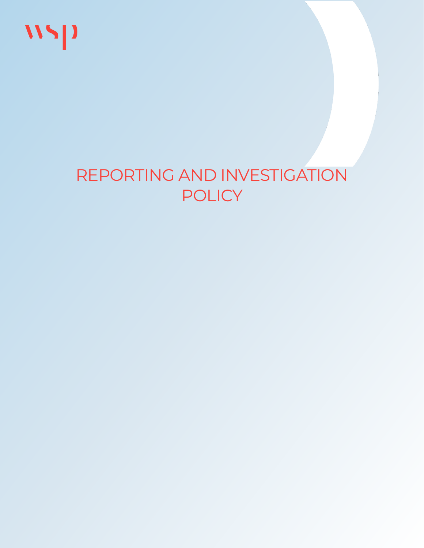

# REPORTING AND INVESTIGATION POLICY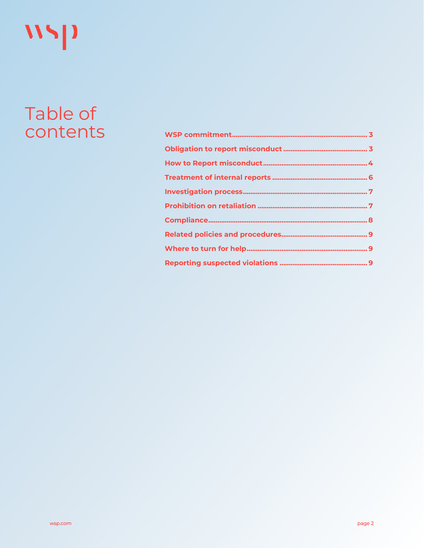# WSP

# Table of contents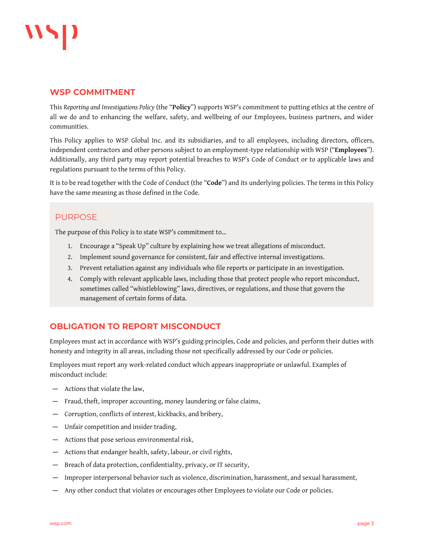

#### <span id="page-2-0"></span>**WSP COMMITMENT**

This *Reporting and Investigations Policy* (the "**Policy**") supports WSP's commitment to putting ethics at the centre of all we do and to enhancing the welfare, safety, and wellbeing of our Employees, business partners, and wider communities.

This Policy applies to WSP Global Inc. and its subsidiaries, and to all employees, including directors, officers, independent contractors and other persons subject to an employment-type relationship with WSP ("**Employees**"). Additionally, any third party may report potential breaches to WSP's Code of Conduct or to applicable laws and regulations pursuant to the terms of this Policy.

It is to be read together with the Code of Conduct (the "**Code**") and its underlying policies. The terms in this Policy have the same meaning as those defined in the Code.

#### PURPOSE

The purpose of this Policy is to state WSP's commitment to…

- 1. Encourage a "Speak Up" culture by explaining how we treat allegations of misconduct.
- 2. Implement sound governance for consistent, fair and effective internal investigations.
- 3. Prevent retaliation against any individuals who file reports or participate in an investigation.
- 4. Comply with relevant applicable laws, including those that protect people who report misconduct, sometimes called "whistleblowing" laws, directives, or regulations, and those that govern the management of certain forms of data.

#### <span id="page-2-1"></span>**OBLIGATION TO REPORT MISCONDUCT**

Employees must act in accordance with WSP's guiding principles, Code and policies, and perform their duties with honesty and integrity in all areas, including those not specifically addressed by our Code or policies.

Employees must report any work-related conduct which appears inappropriate or unlawful. Examples of misconduct include:

- ― Actions that violate the law,
- ― Fraud, theft, improper accounting, money laundering or false claims,
- ― Corruption, conflicts of interest, kickbacks, and bribery,
- ― Unfair competition and insider trading,
- ― Actions that pose serious environmental risk,
- ― Actions that endanger health, safety, labour, or civil rights,
- ― Breach of data protection, confidentiality, privacy, or IT security,
- ― Improper interpersonal behavior such as violence, discrimination, harassment, and sexual harassment,
- ― Any other conduct that violates or encourages other Employees to violate our Code or policies.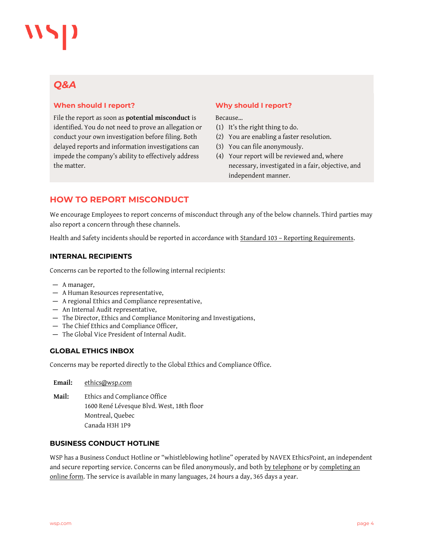### *Q&A*

#### **When should I report?**

File the report as soon as **potential misconduct** is identified. You do not need to prove an allegation or conduct your own investigation before filing. Both delayed reports and information investigations can impede the company's ability to effectively address the matter.

#### **Why should I report?**

#### Because…

- (1) It's the right thing to do.
- (2) You are enabling a faster resolution.
- (3) You can file anonymously.
- (4) Your report will be reviewed and, where necessary, investigated in a fair, objective, and independent manner.

#### <span id="page-3-0"></span>**HOW TO REPORT MISCONDUCT**

We encourage Employees to report concerns of misconduct through any of the below channels. Third parties may also report a concern through these channels.

Health and Safety incidents should be reported in accordance with Standard 103 - [Reporting Requirements.](http://intranet.wspgroup.com/Documents/WSP-GENIVAR/EN/Policies/Health,%20Safety%20and%20Wellbeing/Standards/Standard%20103%20September%202020%20Update/Standard%20103%20-%20Reporting%20Requirements%20-%20Final.pdf)

#### **INTERNAL RECIPIENTS**

Concerns can be reported to the following internal recipients:

- ― A manager,
- ― A Human Resources representative,
- ― A regional Ethics and Compliance representative,
- ― An Internal Audit representative,
- ― The Director, Ethics and Compliance Monitoring and Investigations,
- ― The Chief Ethics and Compliance Officer,
- ― The Global Vice President of Internal Audit.

#### **GLOBAL ETHICS INBOX**

Concerns may be reported directly to the Global Ethics and Compliance Office.

**Email:** [ethics@wsp.com](mailto:ethics@wsp.com) **Mail:** Ethics and Compliance Office 1600 René Lévesque Blvd. West, 18th floor Montreal, Quebec Canada H3H 1P9

#### **BUSINESS CONDUCT HOTLINE**

WSP has a Business Conduct Hotline or "whistleblowing hotline" operated by NAVEX EthicsPoint, an independent and secure reporting service. Concerns can be filed anonymously, and both [by telephone](https://intranet.wspgroup.com/Documents/WSP-GENIVAR/EN/Policies/Policies/Whistleblowing%20telephone%20numbers/International%20Freephone%20Numbers-2020.pdf) or by completing an [online form.](https://wsp.ethicspoint.com/) The service is available in many languages, 24 hours a day, 365 days a year.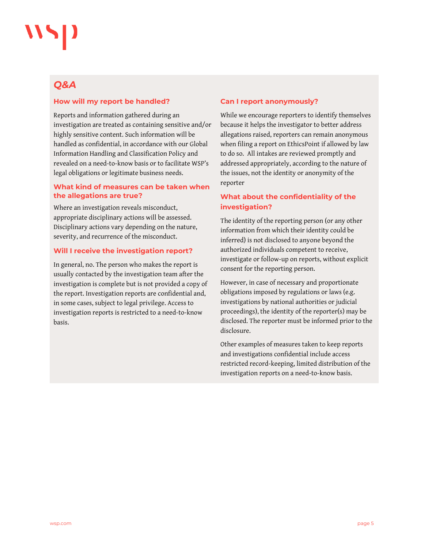### *Q&A*

#### **How will my report be handled?**

Reports and information gathered during an investigation are treated as containing sensitive and/or highly sensitive content. Such information will be handled as confidential, in accordance with our Global Information Handling and Classification Policy and revealed on a need-to-know basis or to facilitate WSP's legal obligations or legitimate business needs.

#### **What kind of measures can be taken when the allegations are true?**

Where an investigation reveals misconduct, appropriate disciplinary actions will be assessed. Disciplinary actions vary depending on the nature, severity, and recurrence of the misconduct.

#### **Will I receive the investigation report?**

In general, no. The person who makes the report is usually contacted by the investigation team after the investigation is complete but is not provided a copy of the report. Investigation reports are confidential and, in some cases, subject to legal privilege. Access to investigation reports is restricted to a need-to-know basis.

#### **Can I report anonymously?**

While we encourage reporters to identify themselves because it helps the investigator to better address allegations raised, reporters can remain anonymous when filing a report on EthicsPoint if allowed by law to do so. All intakes are reviewed promptly and addressed appropriately, according to the nature of the issues, not the identity or anonymity of the reporter

#### **What about the confidentiality of the investigation?**

The identity of the reporting person (or any other information from which their identity could be inferred) is not disclosed to anyone beyond the authorized individuals competent to receive, investigate or follow-up on reports, without explicit consent for the reporting person.

However, in case of necessary and proportionate obligations imposed by regulations or laws (e.g. investigations by national authorities or judicial proceedings), the identity of the reporter(s) may be disclosed. The reporter must be informed prior to the disclosure.

Other examples of measures taken to keep reports and investigations confidential include access restricted record-keeping, limited distribution of the investigation reports on a need-to-know basis.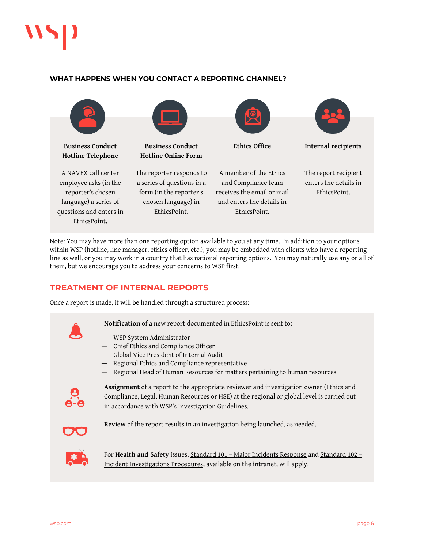

#### **WHAT HAPPENS WHEN YOU CONTACT A REPORTING CHANNEL?**



Note: You may have more than one reporting option available to you at any time. In addition to your options within WSP (hotline, line manager, ethics officer, etc.), you may be embedded with clients who have a reporting line as well, or you may work in a country that has national reporting options. You may naturally use any or all of them, but we encourage you to address your concerns to WSP first.

#### <span id="page-5-0"></span>**TREATMENT OF INTERNAL REPORTS**

Once a report is made, it will be handled through a structured process:



- ― WSP System Administrator
- ― Chief Ethics and Compliance Officer
- ― Global Vice President of Internal Audit
- ― Regional Ethics and Compliance representative
- ― Regional Head of Human Resources for matters pertaining to human resources



**Assignment** of a report to the appropriate reviewer and investigation owner (Ethics and Compliance, Legal, Human Resources or HSE) at the regional or global level is carried out in accordance with WSP's Investigation Guidelines.

**Review** of the report results in an investigation being launched, as needed.



For **Health and Safety** issues, Standard 101 – [Major Incidents Response](http://intranet.wspgroup.com/Documents/WSP-GENIVAR/EN/Policies/Health,%20Safety%20and%20Wellbeing/Standards/Standard%20101%20-%20Major%20Incident%20Response.pdf) an[d Standard 102](http://intranet.wspgroup.com/Documents/WSP-GENIVAR/EN/Policies/Health,%20Safety%20and%20Wellbeing/Standards/Standard%20102%20-%20Incident%20Investigation.pdf) – [Incident Investigations Procedures,](http://intranet.wspgroup.com/Documents/WSP-GENIVAR/EN/Policies/Health,%20Safety%20and%20Wellbeing/Standards/Standard%20102%20-%20Incident%20Investigation.pdf) available on the intranet, will apply.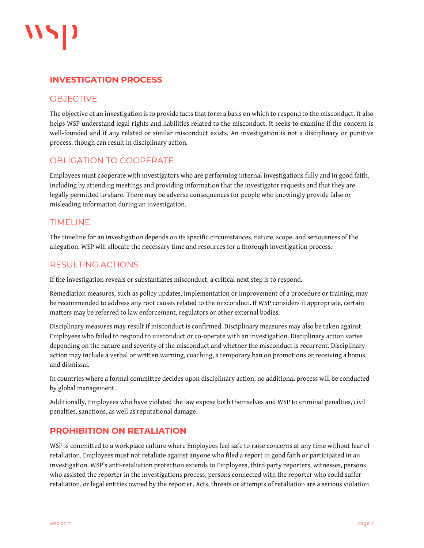

#### <span id="page-6-0"></span>**INVESTIGATION PROCESS**

#### **OBJECTIVE**

The objective of an investigation is to provide facts that form a basis on which to respond to the misconduct. It also helps WSP understand legal rights and liabilities related to the misconduct. It seeks to examine if the concern is well-founded and if any related or similar misconduct exists. An investigation is not a disciplinary or punitive process, though can result in disciplinary action.

#### OBLIGATION TO COOPERATE

Employees must cooperate with investigators who are performing internal investigations fully and in good faith, including by attending meetings and providing information that the investigator requests and that they are legally permitted to share. There may be adverse consequences for people who knowingly provide false or misleading information during an investigation.

#### TIMELINE

The timeline for an investigation depends on its specific circumstances, nature, scope, and seriousness of the allegation. WSP will allocate the necessary time and resources for a thorough investigation process.

#### RESULTING ACTIONS

If the investigation reveals or substantiates misconduct, a critical next step is to respond.

Remediation measures, such as policy updates, implementation or improvement of a procedure or training, may be recommended to address any root causes related to the misconduct. If WSP considers it appropriate, certain matters may be referred to law enforcement, regulators or other external bodies.

Disciplinary measures may result if misconduct is confirmed. Disciplinary measures may also be taken against Employees who failed to respond to misconduct or co-operate with an investigation. Disciplinary action varies depending on the nature and severity of the misconduct and whether the misconduct is recurrent. Disciplinary action may include a verbal or written warning, coaching, a temporary ban on promotions or receiving a bonus, and dismissal.

In countries where a formal committee decides upon disciplinary action, no additional process will be conducted by global management.

Additionally, Employees who have violated the law expose both themselves and WSP to criminal penalties, civil penalties, sanctions, as well as reputational damage.

#### <span id="page-6-1"></span>**PROHIBITION ON RETALIATION**

WSP is committed to a workplace culture where Employees feel safe to raise concerns at any time without fear of retaliation. Employees must not retaliate against anyone who filed a report in good faith or participated in an investigation. WSP's anti-retaliation protection extends to Employees, third party reporters, witnesses, persons who assisted the reporter in the investigations process, persons connected with the reporter who could suffer retaliation, or legal entities owned by the reporter. Acts, threats or attempts of retaliation are a serious violation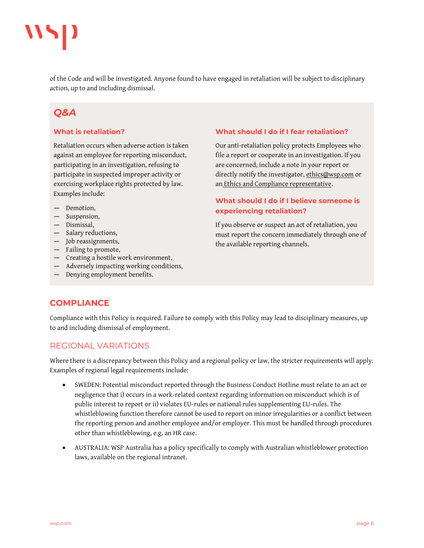

of the Code and will be investigated. Anyone found to have engaged in retaliation will be subject to disciplinary action, up to and including dismissal.

## *Q&A*

#### **What is retaliation?**

Retaliation occurs when adverse action is taken against an employee for reporting misconduct, participating in an investigation, refusing to participate in suspected improper activity or exercising workplace rights protected by law. Examples include:

- Demotion.
- ― Suspension,
- ― Dismissal,
- ― Salary reductions,
- ― Job reassignments,
- ― Failing to promote,
- ― Creating a hostile work environment,
- ― Adversely impacting working conditions,
- ― Denying employment benefits.

#### **What should I do if I fear retaliation?**

Our anti-retaliation policy protects Employees who file a report or cooperate in an investigation. If you are concerned, include a note in your report or directly notify the investigator[, ethics@wsp.com](mailto:ethics@wsp.com) or an [Ethics and Compliance representative.](https://intranet.wspgroup.com/en-GB/Group-Root/Group/Policies/Ethics-Compliance/Team/)

#### **What should I do if I believe someone is experiencing retaliation?**

If you observe or suspect an act of retaliation, you must report the concern immediately through one of the available reporting channels.

#### <span id="page-7-0"></span>**COMPLIANCE**

Compliance with this Policy is required. Failure to comply with this Policy may lead to disciplinary measures, up to and including dismissal of employment.

#### REGIONAL VARIATIONS

Where there is a discrepancy between this Policy and a regional policy or law, the stricter requirements will apply. Examples of regional legal requirements include:

- SWEDEN: Potential misconduct reported through the Business Conduct Hotline must relate to an act or negligence that i) occurs in a work-related context regarding information on misconduct which is of public interest to report or ii) violates EU-rules or national rules supplementing EU-rules. The whistleblowing function therefore cannot be used to report on minor irregularities or a conflict between the reporting person and another employee and/or employer. This must be handled through procedures other than whistleblowing, e.g. an HR case.
- AUSTRALIA: WSP Australia has a policy specifically to comply with Australian whistleblower protection laws, available on the regional intranet.